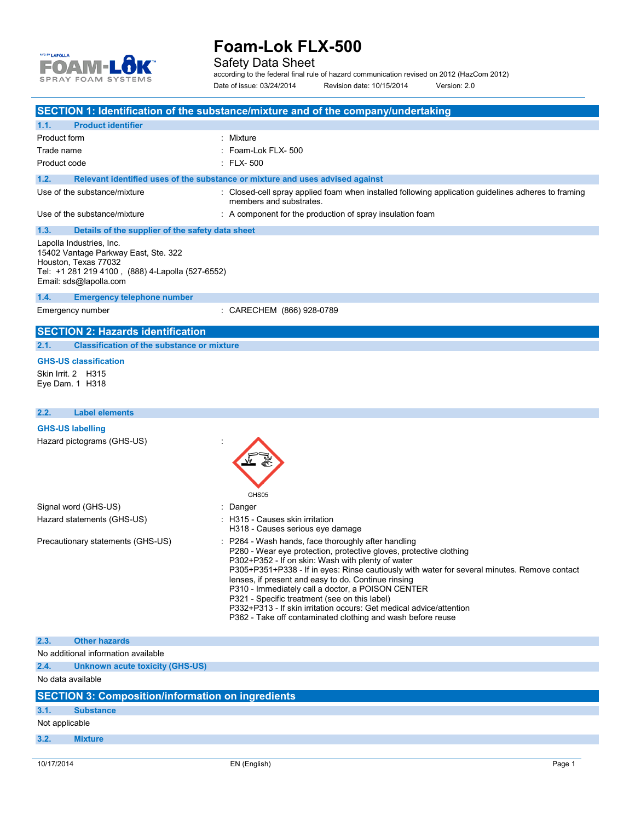

Safety Data Sheet

according to the federal final rule of hazard communication revised on 2012 (HazCom 2012) Date of issue: 03/24/2014 Revision date: 10/15/2014 Version: 2.0

|                                                                                                                                                                        | SECTION 1: Identification of the substance/mixture and of the company/undertaking                                                                                                                                                                                                                                                                                                                                                                                                                                                                                                 |
|------------------------------------------------------------------------------------------------------------------------------------------------------------------------|-----------------------------------------------------------------------------------------------------------------------------------------------------------------------------------------------------------------------------------------------------------------------------------------------------------------------------------------------------------------------------------------------------------------------------------------------------------------------------------------------------------------------------------------------------------------------------------|
| <b>Product identifier</b><br>1.1.                                                                                                                                      |                                                                                                                                                                                                                                                                                                                                                                                                                                                                                                                                                                                   |
| Product form                                                                                                                                                           | : Mixture                                                                                                                                                                                                                                                                                                                                                                                                                                                                                                                                                                         |
| Trade name                                                                                                                                                             | : Foam-Lok FLX- 500                                                                                                                                                                                                                                                                                                                                                                                                                                                                                                                                                               |
| Product code                                                                                                                                                           | $\therefore$ FLX-500                                                                                                                                                                                                                                                                                                                                                                                                                                                                                                                                                              |
| 1.2.                                                                                                                                                                   | Relevant identified uses of the substance or mixture and uses advised against                                                                                                                                                                                                                                                                                                                                                                                                                                                                                                     |
| Use of the substance/mixture                                                                                                                                           | : Closed-cell spray applied foam when installed following application guidelines adheres to framing<br>members and substrates.                                                                                                                                                                                                                                                                                                                                                                                                                                                    |
| Use of the substance/mixture                                                                                                                                           | : A component for the production of spray insulation foam                                                                                                                                                                                                                                                                                                                                                                                                                                                                                                                         |
| 1.3.<br>Details of the supplier of the safety data sheet                                                                                                               |                                                                                                                                                                                                                                                                                                                                                                                                                                                                                                                                                                                   |
| Lapolla Industries, Inc.<br>15402 Vantage Parkway East, Ste. 322<br>Houston, Texas 77032<br>Tel: +1 281 219 4100, (888) 4-Lapolla (527-6552)<br>Email: sds@lapolla.com |                                                                                                                                                                                                                                                                                                                                                                                                                                                                                                                                                                                   |
| 1.4.<br><b>Emergency telephone number</b>                                                                                                                              |                                                                                                                                                                                                                                                                                                                                                                                                                                                                                                                                                                                   |
| Emergency number                                                                                                                                                       | : CARECHEM (866) 928-0789                                                                                                                                                                                                                                                                                                                                                                                                                                                                                                                                                         |
| <b>SECTION 2: Hazards identification</b>                                                                                                                               |                                                                                                                                                                                                                                                                                                                                                                                                                                                                                                                                                                                   |
| <b>Classification of the substance or mixture</b><br>2.1.                                                                                                              |                                                                                                                                                                                                                                                                                                                                                                                                                                                                                                                                                                                   |
| <b>GHS-US classification</b>                                                                                                                                           |                                                                                                                                                                                                                                                                                                                                                                                                                                                                                                                                                                                   |
| Skin Irrit. 2 H315<br>Eye Dam. 1 H318                                                                                                                                  |                                                                                                                                                                                                                                                                                                                                                                                                                                                                                                                                                                                   |
| <b>Label elements</b><br>2.2.                                                                                                                                          |                                                                                                                                                                                                                                                                                                                                                                                                                                                                                                                                                                                   |
| <b>GHS-US labelling</b>                                                                                                                                                |                                                                                                                                                                                                                                                                                                                                                                                                                                                                                                                                                                                   |
| Hazard pictograms (GHS-US)                                                                                                                                             | GHS05                                                                                                                                                                                                                                                                                                                                                                                                                                                                                                                                                                             |
| Signal word (GHS-US)                                                                                                                                                   | : Danger                                                                                                                                                                                                                                                                                                                                                                                                                                                                                                                                                                          |
| Hazard statements (GHS-US)                                                                                                                                             | : H315 - Causes skin irritation<br>H318 - Causes serious eye damage                                                                                                                                                                                                                                                                                                                                                                                                                                                                                                               |
| Precautionary statements (GHS-US)                                                                                                                                      | : P264 - Wash hands, face thoroughly after handling<br>P280 - Wear eye protection, protective gloves, protective clothing<br>P302+P352 - If on skin: Wash with plenty of water<br>P305+P351+P338 - If in eyes: Rinse cautiously with water for several minutes. Remove contact<br>lenses, if present and easy to do. Continue rinsing<br>P310 - Immediately call a doctor, a POISON CENTER<br>P321 - Specific treatment (see on this label)<br>P332+P313 - If skin irritation occurs: Get medical advice/attention<br>P362 - Take off contaminated clothing and wash before reuse |
| <b>Other hazards</b><br>2.3.                                                                                                                                           |                                                                                                                                                                                                                                                                                                                                                                                                                                                                                                                                                                                   |
| No additional information available                                                                                                                                    |                                                                                                                                                                                                                                                                                                                                                                                                                                                                                                                                                                                   |
| 2.4.<br>Unknown acute toxicity (GHS-US)                                                                                                                                |                                                                                                                                                                                                                                                                                                                                                                                                                                                                                                                                                                                   |
| No data available                                                                                                                                                      |                                                                                                                                                                                                                                                                                                                                                                                                                                                                                                                                                                                   |
| <b>SECTION 3: Composition/information on ingredients</b>                                                                                                               |                                                                                                                                                                                                                                                                                                                                                                                                                                                                                                                                                                                   |
| 3.1.<br><b>Substance</b>                                                                                                                                               |                                                                                                                                                                                                                                                                                                                                                                                                                                                                                                                                                                                   |
| Not applicable                                                                                                                                                         |                                                                                                                                                                                                                                                                                                                                                                                                                                                                                                                                                                                   |
| 3.2.<br><b>Mixture</b>                                                                                                                                                 |                                                                                                                                                                                                                                                                                                                                                                                                                                                                                                                                                                                   |
|                                                                                                                                                                        |                                                                                                                                                                                                                                                                                                                                                                                                                                                                                                                                                                                   |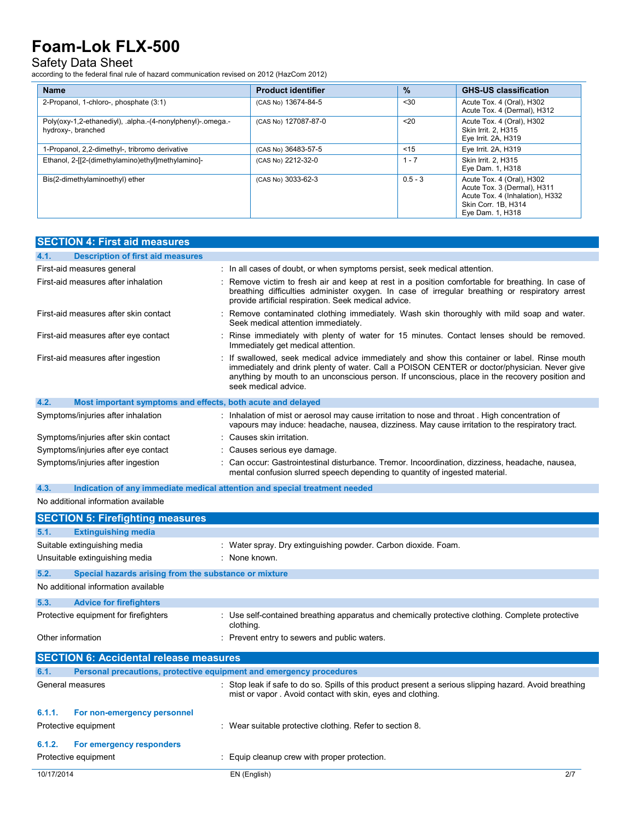#### Safety Data Sheet

according to the federal final rule of hazard communication revised on 2012 (HazCom 2012)

| <b>Name</b>                                                                      | <b>Product identifier</b> | $\frac{9}{6}$    | <b>GHS-US classification</b>                                                                                                           |
|----------------------------------------------------------------------------------|---------------------------|------------------|----------------------------------------------------------------------------------------------------------------------------------------|
| 2-Propanol, 1-chloro-, phosphate (3:1)                                           | (CAS No) 13674-84-5       | < 30             | Acute Tox. 4 (Oral), H302<br>Acute Tox. 4 (Dermal), H312                                                                               |
| Poly(oxy-1,2-ethanediyl), .alpha.-(4-nonylphenyl)-.omega.-<br>hydroxy-, branched | (CAS No) 127087-87-0      | 20 <sub>20</sub> | Acute Tox. 4 (Oral), H302<br>Skin Irrit. 2. H315<br>Eye Irrit. 2A, H319                                                                |
| 1-Propanol, 2,2-dimethyl-, tribromo derivative                                   | (CAS No) 36483-57-5       | < 15             | Eye Irrit. 2A, H319                                                                                                                    |
| Ethanol, 2-[[2-(dimethylamino)ethyl]methylamino]-                                | (CAS No) 2212-32-0        | $-7$             | Skin Irrit. 2. H315<br>Eye Dam. 1, H318                                                                                                |
| Bis(2-dimethylaminoethyl) ether                                                  | (CAS No) 3033-62-3        | $0.5 - 3$        | Acute Tox. 4 (Oral), H302<br>Acute Tox. 3 (Dermal), H311<br>Acute Tox. 4 (Inhalation), H332<br>Skin Corr. 1B. H314<br>Eye Dam. 1, H318 |

| <b>SECTION 4: First aid measures</b>                                               |                                                                                                                                                                                                                                                                                                                        |  |
|------------------------------------------------------------------------------------|------------------------------------------------------------------------------------------------------------------------------------------------------------------------------------------------------------------------------------------------------------------------------------------------------------------------|--|
| <b>Description of first aid measures</b><br>4.1.                                   |                                                                                                                                                                                                                                                                                                                        |  |
| First-aid measures general                                                         | : In all cases of doubt, or when symptoms persist, seek medical attention.                                                                                                                                                                                                                                             |  |
| First-aid measures after inhalation                                                | : Remove victim to fresh air and keep at rest in a position comfortable for breathing. In case of<br>breathing difficulties administer oxygen. In case of irregular breathing or respiratory arrest<br>provide artificial respiration. Seek medical advice.                                                            |  |
| First-aid measures after skin contact                                              | : Remove contaminated clothing immediately. Wash skin thoroughly with mild soap and water.<br>Seek medical attention immediately.                                                                                                                                                                                      |  |
| First-aid measures after eye contact                                               | : Rinse immediately with plenty of water for 15 minutes. Contact lenses should be removed.<br>Immediately get medical attention.                                                                                                                                                                                       |  |
| First-aid measures after ingestion                                                 | : If swallowed, seek medical advice immediately and show this container or label. Rinse mouth<br>immediately and drink plenty of water. Call a POISON CENTER or doctor/physician. Never give<br>anything by mouth to an unconscious person. If unconscious, place in the recovery position and<br>seek medical advice. |  |
| 4.2.<br>Most important symptoms and effects, both acute and delayed                |                                                                                                                                                                                                                                                                                                                        |  |
| Symptoms/injuries after inhalation                                                 | : Inhalation of mist or aerosol may cause irritation to nose and throat . High concentration of<br>vapours may induce: headache, nausea, dizziness. May cause irritation to the respiratory tract.                                                                                                                     |  |
| Symptoms/injuries after skin contact                                               | : Causes skin irritation.                                                                                                                                                                                                                                                                                              |  |
| Symptoms/injuries after eye contact                                                | : Causes serious eye damage.                                                                                                                                                                                                                                                                                           |  |
| Symptoms/injuries after ingestion                                                  | : Can occur: Gastrointestinal disturbance. Tremor. Incoordination, dizziness, headache, nausea,<br>mental confusion slurred speech depending to quantity of ingested material.                                                                                                                                         |  |
| 4.3.<br>Indication of any immediate medical attention and special treatment needed |                                                                                                                                                                                                                                                                                                                        |  |
| No additional information available                                                |                                                                                                                                                                                                                                                                                                                        |  |
| <b>CECTION E. Eirofiabting moneuros</b>                                            |                                                                                                                                                                                                                                                                                                                        |  |

|            | <b>SECTION 5: Firefighting measures</b>               |                                                                                                                                                                       |  |
|------------|-------------------------------------------------------|-----------------------------------------------------------------------------------------------------------------------------------------------------------------------|--|
| 5.1.       | <b>Extinguishing media</b>                            |                                                                                                                                                                       |  |
|            | Suitable extinguishing media                          | : Water spray. Dry extinguishing powder. Carbon dioxide. Foam.                                                                                                        |  |
|            | Unsuitable extinguishing media                        | : None known.                                                                                                                                                         |  |
| 5.2.       | Special hazards arising from the substance or mixture |                                                                                                                                                                       |  |
|            | No additional information available                   |                                                                                                                                                                       |  |
| 5.3.       | <b>Advice for firefighters</b>                        |                                                                                                                                                                       |  |
|            | Protective equipment for firefighters                 | : Use self-contained breathing apparatus and chemically protective clothing. Complete protective<br>clothing.                                                         |  |
|            | Other information                                     | : Prevent entry to sewers and public waters.                                                                                                                          |  |
|            | <b>SECTION 6: Accidental release measures</b>         |                                                                                                                                                                       |  |
| 6.1.       |                                                       | Personal precautions, protective equipment and emergency procedures                                                                                                   |  |
|            | General measures                                      | : Stop leak if safe to do so. Spills of this product present a serious slipping hazard. Avoid breathing<br>mist or vapor. Avoid contact with skin, eyes and clothing. |  |
| 6.1.1.     | For non-emergency personnel                           |                                                                                                                                                                       |  |
|            | Protective equipment                                  | : Wear suitable protective clothing. Refer to section 8.                                                                                                              |  |
| 6.1.2.     | For emergency responders                              |                                                                                                                                                                       |  |
|            | Protective equipment                                  | : Equip cleanup crew with proper protection.                                                                                                                          |  |
| 10/17/2014 |                                                       | 2/7<br>EN (English)                                                                                                                                                   |  |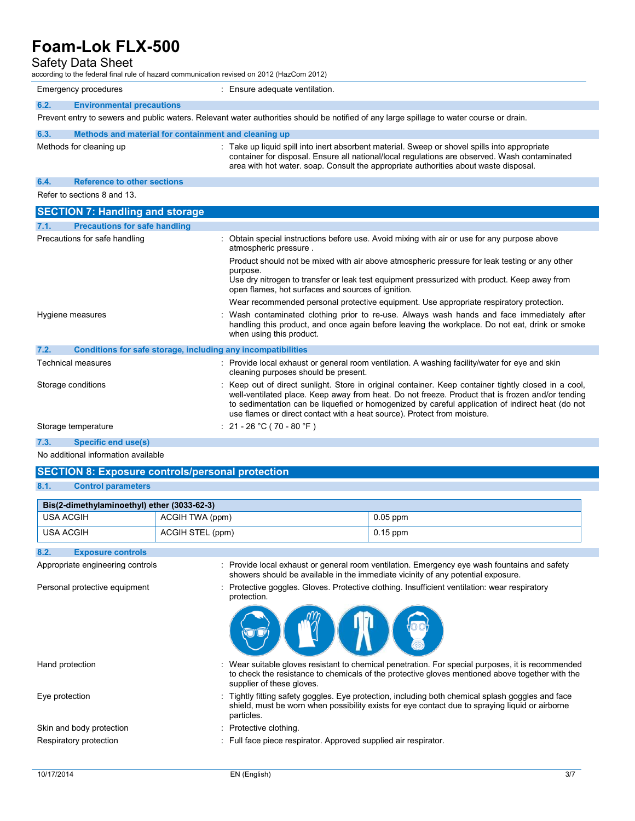### Safety Data Sheet

| ccording to the federal final rule of hazard communication revised on 2012 (HazCom 2012) |                                                                                                                                          |                                                                                                                                                                                                                                                                                                                                                                                        |  |
|------------------------------------------------------------------------------------------|------------------------------------------------------------------------------------------------------------------------------------------|----------------------------------------------------------------------------------------------------------------------------------------------------------------------------------------------------------------------------------------------------------------------------------------------------------------------------------------------------------------------------------------|--|
| Emergency procedures                                                                     |                                                                                                                                          | : Ensure adequate ventilation.                                                                                                                                                                                                                                                                                                                                                         |  |
| 6.2.<br><b>Environmental precautions</b>                                                 |                                                                                                                                          |                                                                                                                                                                                                                                                                                                                                                                                        |  |
|                                                                                          | Prevent entry to sewers and public waters. Relevant water authorities should be notified of any large spillage to water course or drain. |                                                                                                                                                                                                                                                                                                                                                                                        |  |
| 6.3.                                                                                     | Methods and material for containment and cleaning up                                                                                     |                                                                                                                                                                                                                                                                                                                                                                                        |  |
|                                                                                          | Methods for cleaning up                                                                                                                  | : Take up liquid spill into inert absorbent material. Sweep or shovel spills into appropriate<br>container for disposal. Ensure all national/local regulations are observed. Wash contaminated<br>area with hot water, soap. Consult the appropriate authorities about waste disposal.                                                                                                 |  |
| 6.4.                                                                                     | <b>Reference to other sections</b>                                                                                                       |                                                                                                                                                                                                                                                                                                                                                                                        |  |
|                                                                                          | Refer to sections 8 and 13.                                                                                                              |                                                                                                                                                                                                                                                                                                                                                                                        |  |
|                                                                                          | <b>SECTION 7: Handling and storage</b>                                                                                                   |                                                                                                                                                                                                                                                                                                                                                                                        |  |
| 7.1.                                                                                     | <b>Precautions for safe handling</b>                                                                                                     |                                                                                                                                                                                                                                                                                                                                                                                        |  |
| Precautions for safe handling                                                            |                                                                                                                                          | Obtain special instructions before use. Avoid mixing with air or use for any purpose above<br>atmospheric pressure.                                                                                                                                                                                                                                                                    |  |
|                                                                                          |                                                                                                                                          | Product should not be mixed with air above atmospheric pressure for leak testing or any other<br>purpose.<br>Use dry nitrogen to transfer or leak test equipment pressurized with product. Keep away from<br>open flames, hot surfaces and sources of ignition.                                                                                                                        |  |
|                                                                                          |                                                                                                                                          | Wear recommended personal protective equipment. Use appropriate respiratory protection.                                                                                                                                                                                                                                                                                                |  |
|                                                                                          | Hygiene measures                                                                                                                         | Wash contaminated clothing prior to re-use. Always wash hands and face immediately after<br>handling this product, and once again before leaving the workplace. Do not eat, drink or smoke<br>when using this product.                                                                                                                                                                 |  |
| 7.2.                                                                                     | Conditions for safe storage, including any incompatibilities                                                                             |                                                                                                                                                                                                                                                                                                                                                                                        |  |
|                                                                                          | <b>Technical measures</b>                                                                                                                | : Provide local exhaust or general room ventilation. A washing facility/water for eye and skin<br>cleaning purposes should be present.                                                                                                                                                                                                                                                 |  |
|                                                                                          | Storage conditions                                                                                                                       | Keep out of direct sunlight. Store in original container. Keep container tightly closed in a cool.<br>well-ventilated place. Keep away from heat. Do not freeze. Product that is frozen and/or tending<br>to sedimentation can be liquefied or homogenized by careful application of indirect heat (do not<br>use flames or direct contact with a heat source). Protect from moisture. |  |
| Storage temperature                                                                      |                                                                                                                                          | : $21 - 26$ °C (70 - 80 °F)                                                                                                                                                                                                                                                                                                                                                            |  |

**7.3. Specific end use(s)**

No additional information available

### **SECTION 8: Exposure controls/personal protection**

### **8.1. Control parameters**

| Bis(2-dimethylaminoethyl) ether (3033-62-3) |                  |            |
|---------------------------------------------|------------------|------------|
| USA ACGIH                                   | ACGIH TWA (ppm)  | $0.05$ ppm |
| USA ACGIH                                   | ACGIH STEL (ppm) | $0.15$ ppm |

#### **8.2. Exposure controls**

Appropriate engineering controls : Provide local exhaust or general room ventilation. Emergency eye wash fountains and safety showers should be available in the immediate vicinity of any potential exposure.

Personal protective equipment : Protective goggles. Gloves. Protective clothing. Insufficient ventilation: wear respiratory protection.



- Hand protection : Wear suitable gloves resistant to chemical penetration. For special purposes, it is recommended to check the resistance to chemicals of the protective gloves mentioned above together with the supplier of these gloves.
- Eye protection **including the Contract Condom** Fightly fitting safety goggles. Eye protection, including both chemical splash goggles and face shield, must be worn when possibility exists for eye contact due to spraying liquid or airborne particles.
- Skin and body protection : Protective clothing.
- Respiratory protection : Full face piece respirator. Approved supplied air respirator.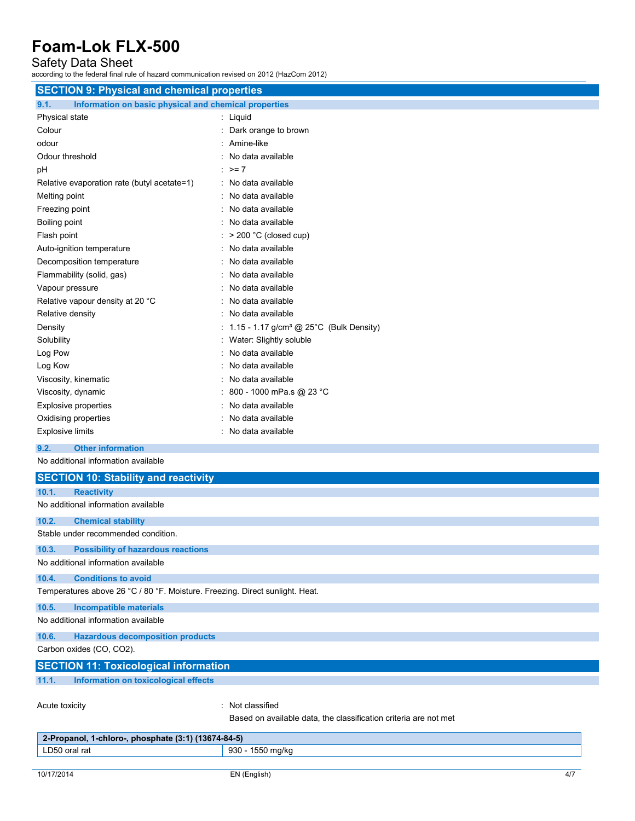Safety Data Sheet

according to the federal final rule of hazard communication revised on 2012 (HazCom 2012)

| <b>SECTION 9: Physical and chemical properties</b>                           |                                                       |  |
|------------------------------------------------------------------------------|-------------------------------------------------------|--|
| 9.1.<br>Information on basic physical and chemical properties                |                                                       |  |
| Physical state                                                               | : Liquid                                              |  |
| Colour                                                                       | : Dark orange to brown                                |  |
| odour                                                                        | : Amine-like                                          |  |
| Odour threshold                                                              | No data available                                     |  |
| рH                                                                           | : $> = 7$                                             |  |
| Relative evaporation rate (butyl acetate=1)                                  | : No data available                                   |  |
| Melting point                                                                | : No data available                                   |  |
| Freezing point                                                               | : No data available                                   |  |
| Boiling point                                                                | : No data available                                   |  |
| Flash point                                                                  | $:$ > 200 °C (closed cup)                             |  |
| Auto-ignition temperature                                                    | : No data available                                   |  |
| Decomposition temperature                                                    | : No data available                                   |  |
| Flammability (solid, gas)                                                    | No data available                                     |  |
| Vapour pressure                                                              | : No data available                                   |  |
| Relative vapour density at 20 °C                                             | : No data available                                   |  |
| Relative density                                                             | : No data available                                   |  |
| Density                                                                      | : 1.15 - 1.17 g/cm <sup>3</sup> @ 25°C (Bulk Density) |  |
| Solubility                                                                   | : Water: Slightly soluble                             |  |
| Log Pow                                                                      | : No data available                                   |  |
| Log Kow                                                                      | : No data available                                   |  |
| Viscosity, kinematic                                                         | No data available                                     |  |
| Viscosity, dynamic                                                           | 800 - 1000 mPa.s @ 23 °C                              |  |
| <b>Explosive properties</b>                                                  | No data available                                     |  |
| Oxidising properties                                                         | No data available                                     |  |
| <b>Explosive limits</b>                                                      | : No data available                                   |  |
| 9.2.<br><b>Other information</b>                                             |                                                       |  |
| No additional information available                                          |                                                       |  |
| <b>SECTION 10: Stability and reactivity</b>                                  |                                                       |  |
| 10.1.<br><b>Reactivity</b>                                                   |                                                       |  |
| No additional information available                                          |                                                       |  |
| <b>Chemical stability</b><br>10.2.                                           |                                                       |  |
| Stable under recommended condition.                                          |                                                       |  |
| 10.3.<br><b>Possibility of hazardous reactions</b>                           |                                                       |  |
| No additional information available                                          |                                                       |  |
| <b>Conditions to avoid</b><br>10.4.                                          |                                                       |  |
| Temperatures above 26 °C / 80 °F. Moisture. Freezing. Direct sunlight. Heat. |                                                       |  |
| 10.5.<br><b>Incompatible materials</b>                                       |                                                       |  |
| No additional information available                                          |                                                       |  |
| 10.6.<br><b>Hazardous decomposition products</b>                             |                                                       |  |
| Carbon oxides (CO, CO2).                                                     |                                                       |  |
| <b>SECTION 11: Toxicological information</b>                                 |                                                       |  |

**11.1. Information on toxicological effects**

Acute toxicity **in the case of the case of the case of the case of the case of the case of the case of the case of the case of the case of the case of the case of the case of the case of the case of the case of the case of** 

Based on available data, the classification criteria are not met

| 2-Propanol, 1-chloro-, phosphate $(3:1)$ $(13674-84-5)$ |                  |
|---------------------------------------------------------|------------------|
| LD50 oral rat                                           | 930 - 1550 mg/kg |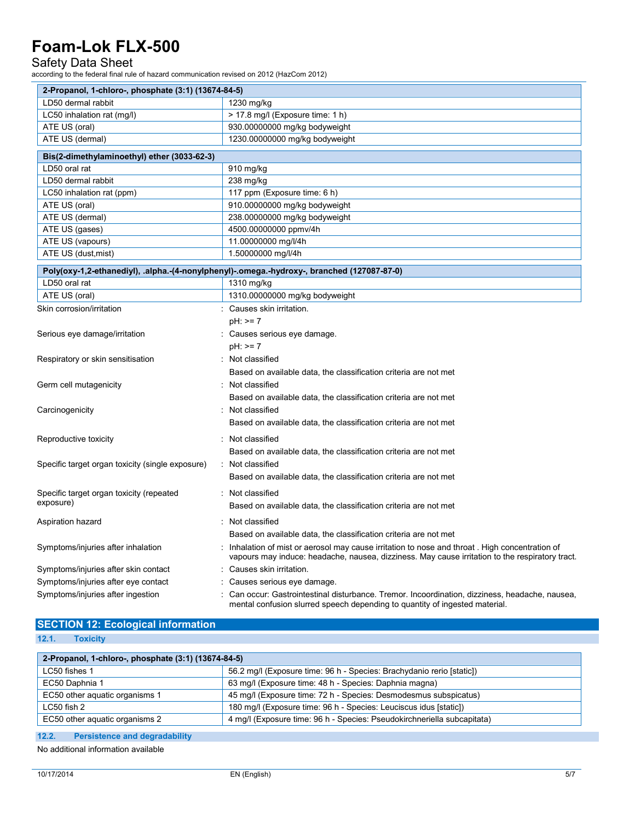### Safety Data Sheet

according to the federal final rule of hazard communication revised on 2012 (HazCom 2012)

| 2-Propanol, 1-chloro-, phosphate (3:1) (13674-84-5) |                                                                                                                                                                                                 |  |
|-----------------------------------------------------|-------------------------------------------------------------------------------------------------------------------------------------------------------------------------------------------------|--|
| LD50 dermal rabbit                                  | 1230 mg/kg                                                                                                                                                                                      |  |
| LC50 inhalation rat (mg/l)                          | > 17.8 mg/l (Exposure time: 1 h)                                                                                                                                                                |  |
| ATE US (oral)                                       | 930.00000000 mg/kg bodyweight                                                                                                                                                                   |  |
| ATE US (dermal)                                     | 1230.00000000 mg/kg bodyweight                                                                                                                                                                  |  |
| Bis(2-dimethylaminoethyl) ether (3033-62-3)         |                                                                                                                                                                                                 |  |
| LD50 oral rat                                       | 910 mg/kg                                                                                                                                                                                       |  |
| LD50 dermal rabbit                                  | 238 mg/kg                                                                                                                                                                                       |  |
| LC50 inhalation rat (ppm)                           | 117 ppm (Exposure time: 6 h)                                                                                                                                                                    |  |
| ATE US (oral)                                       | 910.00000000 mg/kg bodyweight                                                                                                                                                                   |  |
| ATE US (dermal)                                     | 238.00000000 mg/kg bodyweight                                                                                                                                                                   |  |
| ATE US (gases)                                      | 4500.00000000 ppmv/4h                                                                                                                                                                           |  |
| ATE US (vapours)                                    | 11.00000000 mg/l/4h                                                                                                                                                                             |  |
| ATE US (dust, mist)                                 | 1.50000000 mg/l/4h                                                                                                                                                                              |  |
|                                                     | Poly(oxy-1,2-ethanediyl), .alpha.-(4-nonylphenyl)-.omega.-hydroxy-, branched (127087-87-0)                                                                                                      |  |
| LD50 oral rat                                       | 1310 mg/kg                                                                                                                                                                                      |  |
| ATE US (oral)                                       | 1310.00000000 mg/kg bodyweight                                                                                                                                                                  |  |
| Skin corrosion/irritation                           | Causes skin irritation.                                                                                                                                                                         |  |
|                                                     | $pH: \geq 7$                                                                                                                                                                                    |  |
| Serious eye damage/irritation                       | Causes serious eye damage.                                                                                                                                                                      |  |
|                                                     | $pH: \ge 7$                                                                                                                                                                                     |  |
| Respiratory or skin sensitisation                   | Not classified                                                                                                                                                                                  |  |
|                                                     | Based on available data, the classification criteria are not met                                                                                                                                |  |
| Germ cell mutagenicity                              | Not classified                                                                                                                                                                                  |  |
|                                                     | Based on available data, the classification criteria are not met                                                                                                                                |  |
| Carcinogenicity                                     | : Not classified                                                                                                                                                                                |  |
|                                                     | Based on available data, the classification criteria are not met                                                                                                                                |  |
|                                                     | Not classified                                                                                                                                                                                  |  |
| Reproductive toxicity                               |                                                                                                                                                                                                 |  |
|                                                     | Based on available data, the classification criteria are not met                                                                                                                                |  |
| Specific target organ toxicity (single exposure)    | : Not classified                                                                                                                                                                                |  |
|                                                     | Based on available data, the classification criteria are not met                                                                                                                                |  |
| Specific target organ toxicity (repeated            | : Not classified                                                                                                                                                                                |  |
| exposure)                                           | Based on available data, the classification criteria are not met                                                                                                                                |  |
| Aspiration hazard                                   | : Not classified                                                                                                                                                                                |  |
|                                                     | Based on available data, the classification criteria are not met                                                                                                                                |  |
| Symptoms/injuries after inhalation                  | Inhalation of mist or aerosol may cause irritation to nose and throat. High concentration of<br>vapours may induce: headache, nausea, dizziness. May cause irritation to the respiratory tract. |  |
| Symptoms/injuries after skin contact                | Causes skin irritation.                                                                                                                                                                         |  |
| Symptoms/injuries after eye contact                 | Causes serious eye damage.                                                                                                                                                                      |  |
| Symptoms/injuries after ingestion                   | Can occur: Gastrointestinal disturbance. Tremor. Incoordination, dizziness, headache, nausea,<br>mental confusion slurred speech depending to quantity of ingested material.                    |  |

#### **SECTION 12: Ecological information 12.1. Toxicity**

| 14. L. | <b>TOXIGILY</b> |  |
|--------|-----------------|--|
|        |                 |  |
|        |                 |  |
|        |                 |  |

| 2-Propanol, 1-chloro-, phosphate (3:1) (13674-84-5) |                                                                         |  |
|-----------------------------------------------------|-------------------------------------------------------------------------|--|
| LC50 fishes 1                                       | 56.2 mg/l (Exposure time: 96 h - Species: Brachydanio rerio [static])   |  |
| EC50 Daphnia 1                                      | 63 mg/l (Exposure time: 48 h - Species: Daphnia magna)                  |  |
| EC50 other aquatic organisms 1                      | 45 mg/l (Exposure time: 72 h - Species: Desmodesmus subspicatus)        |  |
| LC50 fish 2                                         | 180 mg/l (Exposure time: 96 h - Species: Leuciscus idus [static])       |  |
| EC50 other aquatic organisms 2                      | 4 mg/l (Exposure time: 96 h - Species: Pseudokirchneriella subcapitata) |  |
|                                                     |                                                                         |  |

**12.2. Persistence and degradability**

No additional information available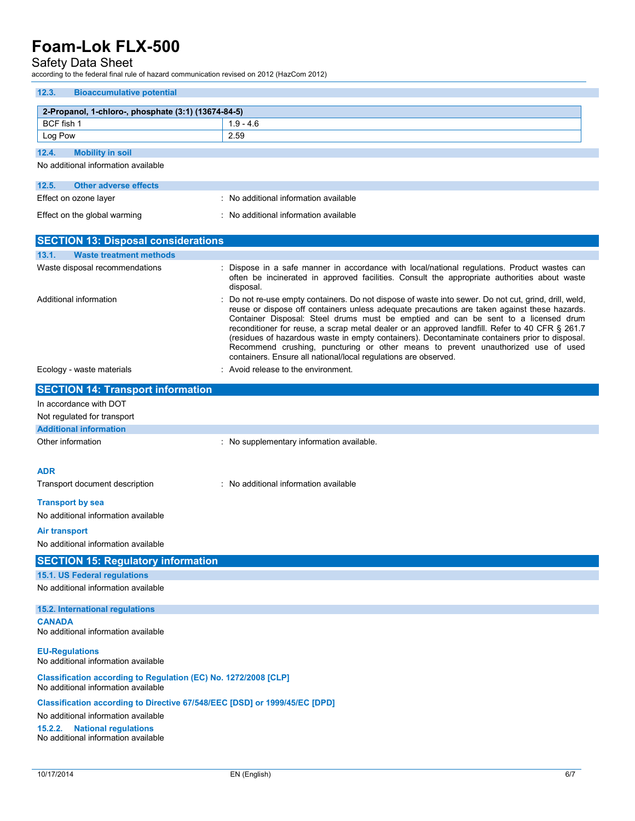## Safety Data Sheet

according to the federal final rule of hazard communication revised on 2012 (HazCom 2012)

| 12.3.<br><b>Bioaccumulative potential</b>                                                              |                                                                                                                                                                                                                                                                                                                                                                                                                                                                                                                                                                                                                                                       |  |
|--------------------------------------------------------------------------------------------------------|-------------------------------------------------------------------------------------------------------------------------------------------------------------------------------------------------------------------------------------------------------------------------------------------------------------------------------------------------------------------------------------------------------------------------------------------------------------------------------------------------------------------------------------------------------------------------------------------------------------------------------------------------------|--|
| 2-Propanol, 1-chloro-, phosphate (3:1) (13674-84-5)                                                    |                                                                                                                                                                                                                                                                                                                                                                                                                                                                                                                                                                                                                                                       |  |
| BCF fish 1                                                                                             | $1.9 - 4.6$                                                                                                                                                                                                                                                                                                                                                                                                                                                                                                                                                                                                                                           |  |
| Log Pow                                                                                                | 2.59                                                                                                                                                                                                                                                                                                                                                                                                                                                                                                                                                                                                                                                  |  |
| 12.4.<br><b>Mobility in soil</b>                                                                       |                                                                                                                                                                                                                                                                                                                                                                                                                                                                                                                                                                                                                                                       |  |
| No additional information available                                                                    |                                                                                                                                                                                                                                                                                                                                                                                                                                                                                                                                                                                                                                                       |  |
|                                                                                                        |                                                                                                                                                                                                                                                                                                                                                                                                                                                                                                                                                                                                                                                       |  |
| 12.5.<br><b>Other adverse effects</b><br>Effect on ozone layer                                         | : No additional information available                                                                                                                                                                                                                                                                                                                                                                                                                                                                                                                                                                                                                 |  |
|                                                                                                        |                                                                                                                                                                                                                                                                                                                                                                                                                                                                                                                                                                                                                                                       |  |
| Effect on the global warming                                                                           | : No additional information available                                                                                                                                                                                                                                                                                                                                                                                                                                                                                                                                                                                                                 |  |
| <b>SECTION 13: Disposal considerations</b>                                                             |                                                                                                                                                                                                                                                                                                                                                                                                                                                                                                                                                                                                                                                       |  |
| 13.1.<br><b>Waste treatment methods</b>                                                                |                                                                                                                                                                                                                                                                                                                                                                                                                                                                                                                                                                                                                                                       |  |
| Waste disposal recommendations                                                                         | Dispose in a safe manner in accordance with local/national regulations. Product wastes can<br>often be incinerated in approved facilities. Consult the appropriate authorities about waste<br>disposal.                                                                                                                                                                                                                                                                                                                                                                                                                                               |  |
| Additional information                                                                                 | Do not re-use empty containers. Do not dispose of waste into sewer. Do not cut, grind, drill, weld,<br>reuse or dispose off containers unless adequate precautions are taken against these hazards.<br>Container Disposal: Steel drums must be emptied and can be sent to a licensed drum<br>reconditioner for reuse, a scrap metal dealer or an approved landfill. Refer to 40 CFR § 261.7<br>(residues of hazardous waste in empty containers). Decontaminate containers prior to disposal.<br>Recommend crushing, puncturing or other means to prevent unauthorized use of used<br>containers. Ensure all national/local regulations are observed. |  |
| Ecology - waste materials                                                                              | : Avoid release to the environment.                                                                                                                                                                                                                                                                                                                                                                                                                                                                                                                                                                                                                   |  |
| <b>SECTION 14: Transport information</b>                                                               |                                                                                                                                                                                                                                                                                                                                                                                                                                                                                                                                                                                                                                                       |  |
| In accordance with DOT                                                                                 |                                                                                                                                                                                                                                                                                                                                                                                                                                                                                                                                                                                                                                                       |  |
| Not regulated for transport                                                                            |                                                                                                                                                                                                                                                                                                                                                                                                                                                                                                                                                                                                                                                       |  |
| <b>Additional information</b>                                                                          |                                                                                                                                                                                                                                                                                                                                                                                                                                                                                                                                                                                                                                                       |  |
| Other information                                                                                      | : No supplementary information available.                                                                                                                                                                                                                                                                                                                                                                                                                                                                                                                                                                                                             |  |
|                                                                                                        |                                                                                                                                                                                                                                                                                                                                                                                                                                                                                                                                                                                                                                                       |  |
| <b>ADR</b>                                                                                             |                                                                                                                                                                                                                                                                                                                                                                                                                                                                                                                                                                                                                                                       |  |
| Transport document description                                                                         | : No additional information available                                                                                                                                                                                                                                                                                                                                                                                                                                                                                                                                                                                                                 |  |
| <b>Transport by sea</b>                                                                                |                                                                                                                                                                                                                                                                                                                                                                                                                                                                                                                                                                                                                                                       |  |
| No additional information available                                                                    |                                                                                                                                                                                                                                                                                                                                                                                                                                                                                                                                                                                                                                                       |  |
| Air transport                                                                                          |                                                                                                                                                                                                                                                                                                                                                                                                                                                                                                                                                                                                                                                       |  |
| No additional information available                                                                    |                                                                                                                                                                                                                                                                                                                                                                                                                                                                                                                                                                                                                                                       |  |
| <b>SECTION 15: Regulatory information</b>                                                              |                                                                                                                                                                                                                                                                                                                                                                                                                                                                                                                                                                                                                                                       |  |
| 15.1. US Federal regulations                                                                           |                                                                                                                                                                                                                                                                                                                                                                                                                                                                                                                                                                                                                                                       |  |
| No additional information available                                                                    |                                                                                                                                                                                                                                                                                                                                                                                                                                                                                                                                                                                                                                                       |  |
| 15.2. International regulations                                                                        |                                                                                                                                                                                                                                                                                                                                                                                                                                                                                                                                                                                                                                                       |  |
| <b>CANADA</b><br>No additional information available                                                   |                                                                                                                                                                                                                                                                                                                                                                                                                                                                                                                                                                                                                                                       |  |
|                                                                                                        |                                                                                                                                                                                                                                                                                                                                                                                                                                                                                                                                                                                                                                                       |  |
| <b>EU-Regulations</b><br>No additional information available                                           |                                                                                                                                                                                                                                                                                                                                                                                                                                                                                                                                                                                                                                                       |  |
| Classification according to Regulation (EC) No. 1272/2008 [CLP]<br>No additional information available |                                                                                                                                                                                                                                                                                                                                                                                                                                                                                                                                                                                                                                                       |  |
| Classification according to Directive 67/548/EEC [DSD] or 1999/45/EC [DPD]                             |                                                                                                                                                                                                                                                                                                                                                                                                                                                                                                                                                                                                                                                       |  |
| No additional information available<br><b>National regulations</b><br>15.2.2.                          |                                                                                                                                                                                                                                                                                                                                                                                                                                                                                                                                                                                                                                                       |  |

No additional information available